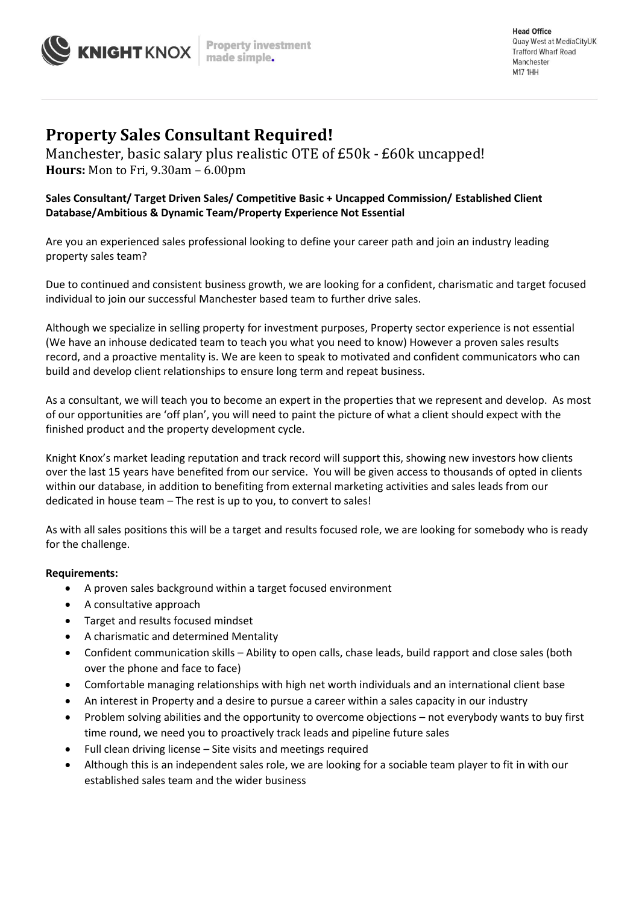

## **Property Sales Consultant Required!**

Manchester, basic salary plus realistic OTE of £50k - £60k uncapped! **Hours:** Mon to Fri, 9.30am – 6.00pm

## **Sales Consultant/ Target Driven Sales/ Competitive Basic + Uncapped Commission/ Established Client Database/Ambitious & Dynamic Team/Property Experience Not Essential**

Are you an experienced sales professional looking to define your career path and join an industry leading property sales team?

Due to continued and consistent business growth, we are looking for a confident, charismatic and target focused individual to join our successful Manchester based team to further drive sales.

Although we specialize in selling property for investment purposes, Property sector experience is not essential (We have an inhouse dedicated team to teach you what you need to know) However a proven sales results record, and a proactive mentality is. We are keen to speak to motivated and confident communicators who can build and develop client relationships to ensure long term and repeat business.

As a consultant, we will teach you to become an expert in the properties that we represent and develop. As most of our opportunities are 'off plan', you will need to paint the picture of what a client should expect with the finished product and the property development cycle.

Knight Knox's market leading reputation and track record will support this, showing new investors how clients over the last 15 years have benefited from our service. You will be given access to thousands of opted in clients within our database, in addition to benefiting from external marketing activities and sales leads from our dedicated in house team – The rest is up to you, to convert to sales!

As with all sales positions this will be a target and results focused role, we are looking for somebody who is ready for the challenge.

## **Requirements:**

- A proven sales background within a target focused environment
- A consultative approach
- Target and results focused mindset
- A charismatic and determined Mentality
- Confident communication skills Ability to open calls, chase leads, build rapport and close sales (both over the phone and face to face)
- Comfortable managing relationships with high net worth individuals and an international client base
- An interest in Property and a desire to pursue a career within a sales capacity in our industry
- Problem solving abilities and the opportunity to overcome objections not everybody wants to buy first time round, we need you to proactively track leads and pipeline future sales
- Full clean driving license Site visits and meetings required
- Although this is an independent sales role, we are looking for a sociable team player to fit in with our established sales team and the wider business